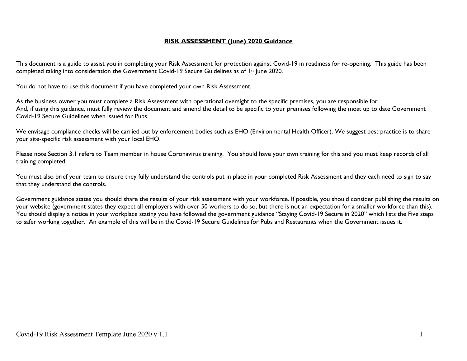## **RISK ASSESSMENT (June) 2020 Guidance**

This document is a guide to assist you in completing your Risk Assessment for protection against Covid-19 in readiness for re-opening. This guide has been completed taking into consideration the Government Covid-19 Secure Guidelines as of 1st June 2020.

You do not have to use this document if you have completed your own Risk Assessment.

As the business owner you must complete a Risk Assessment with operational oversight to the specific premises, you are responsible for. And, if using this guidance, must fully review the document and amend the detail to be specific to your premises following the most up to date Government Covid-19 Secure Guidelines when issued for Pubs.

We envisage compliance checks will be carried out by enforcement bodies such as EHO (Environmental Health Officer). We suggest best practice is to share your site-specific risk assessment with your local EHO.

Please note Section 3.1 refers to Team member in house Coronavirus training. You should have your own training for this and you must keep records of all training completed.

You must also brief your team to ensure they fully understand the controls put in place in your completed Risk Assessment and they each need to sign to say that they understand the controls.

Government guidance states you should share the results of your risk assessment with your workforce. If possible, you should consider publishing the results on your website (government states they expect all employers with over 50 workers to do so, but there is not an expectation for a smaller workforce than this). You should display a notice in your workplace stating you have followed the government guidance "Staying Covid-19 Secure in 2020" which lists the Five steps to safer working together. An example of this will be in the Covid-19 Secure Guidelines for Pubs and Restaurants when the Government issues it.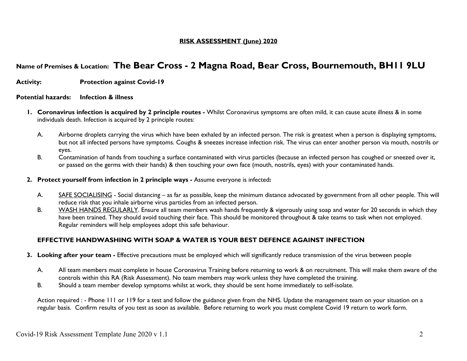## **RISK ASSESSMENT (June) 2020**

# **Name of Premises & Location: The Bear Cross - 2 Magna Road, Bear Cross, Bournemouth, BH11 9LU**

**Activity: Protection against Covid-19**

#### **Potential hazards: Infection & illness**

- **1. Coronavirus infection is acquired by 2 principle routes -** Whilst Coronavirus symptoms are often mild, it can cause acute illness & in some individuals death. Infection is acquired by 2 principle routes:
	- A. Airborne droplets carrying the virus which have been exhaled by an infected person. The risk is greatest when a person is displaying symptoms, but not all infected persons have symptoms. Coughs & sneezes increase infection risk. The virus can enter another person via mouth, nostrils or eyes.
	- B. Contamination of hands from touching a surface contaminated with virus particles (because an infected person has coughed or sneezed over it, or passed on the germs with their hands) & then touching your own face (mouth, nostrils, eyes) with your contaminated hands.
- **2. Protect yourself from infection in 2 principle ways -** Assume everyone is infected**:**
	- A. SAFE SOCIALISING Social distancing as far as possible, keep the minimum distance advocated by government from all other people. This will reduce risk that you inhale airborne virus particles from an infected person.
	- B. WASH HANDS REGULARLY. Ensure all team members wash hands frequently & vigorously using soap and water for 20 seconds in which they have been trained. They should avoid touching their face. This should be monitored throughout & take teams to task when not employed. Regular reminders will help employees adopt this safe behaviour.

## **EFFECTIVE HANDWASHING WITH SOAP & WATER IS YOUR BEST DEFENCE AGAINST INFECTION**

- **3. Looking after your team -** Effective precautions must be employed which will significantly reduce transmission of the virus between people
	- A. All team members must complete in house Coronavirus Training before returning to work & on recruitment. This will make them aware of the controls within this RA (Risk Assessment). No team members may work unless they have completed the training.
	- B. Should a team member develop symptoms whilst at work, they should be sent home immediately to self-isolate.

Action required : - Phone 111 or 119 for a test and follow the guidance given from the NHS. Update the management team on your situation on a regular basis. Confirm results of you test as soon as available. Before returning to work you must complete Covid 19 return to work form.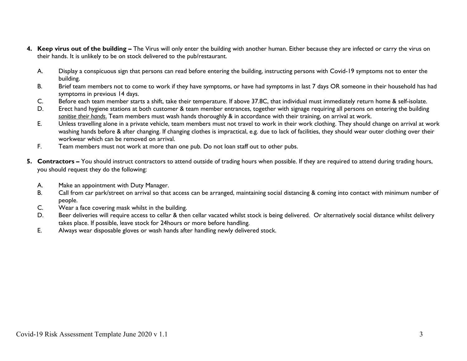- **4. Keep virus out of the building –** The Virus will only enter the building with another human. Either because they are infected or carry the virus on their hands. It is unlikely to be on stock delivered to the pub/restaurant.
	- A. Display a conspicuous sign that persons can read before entering the building, instructing persons with Covid-19 symptoms not to enter the building.
	- B. Brief team members not to come to work if they have symptoms, or have had symptoms in last 7 days OR someone in their household has had symptoms in previous 14 days.
	- C. Before each team member starts a shift, take their temperature. If above 37.8C, that individual must immediately return home & self-isolate.
	- D. Erect hand hygiene stations at both customer & team member entrances, together with signage requiring all persons on entering the building *sanitise their hands*. Team members must wash hands thoroughly & in accordance with their training, on arrival at work.
	- E. Unless travelling alone in a private vehicle, team members must not travel to work in their work clothing. They should change on arrival at work washing hands before & after changing. If changing clothes is impractical, e.g. due to lack of facilities, they should wear outer clothing over their workwear which can be removed on arrival.
	- F. Team members must not work at more than one pub. Do not loan staff out to other pubs.
- **5. Contractors –** You should instruct contractors to attend outside of trading hours when possible. If they are required to attend during trading hours, you should request they do the following:
	- A. Make an appointment with Duty Manager.
	- B. Call from car park/street on arrival so that access can be arranged, maintaining social distancing & coming into contact with minimum number of people.
	- C. Wear a face covering mask whilst in the building.
	- D. Beer deliveries will require access to cellar & then cellar vacated whilst stock is being delivered. Or alternatively social distance whilst delivery takes place. If possible, leave stock for 24hours or more before handling.
	- E. Always wear disposable gloves or wash hands after handling newly delivered stock.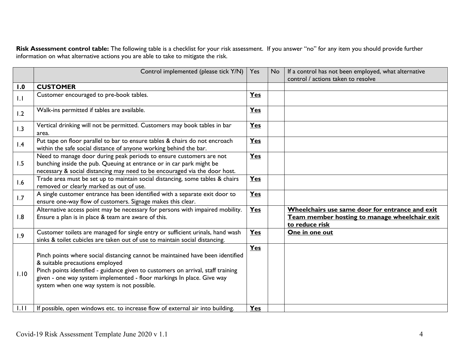**Risk Assessment control table:** The following table is a checklist for your risk assessment. If you answer "no" for any item you should provide further information on what alternative actions you are able to take to mitigate the risk.

|      | Control implemented (please tick Y/N)                                                                                                                                                                                                                                                                                          |            | N <sub>o</sub> | If a control has not been employed, what alternative                                                               |
|------|--------------------------------------------------------------------------------------------------------------------------------------------------------------------------------------------------------------------------------------------------------------------------------------------------------------------------------|------------|----------------|--------------------------------------------------------------------------------------------------------------------|
|      |                                                                                                                                                                                                                                                                                                                                |            |                | control / actions taken to resolve                                                                                 |
| 1.0  | <b>CUSTOMER</b>                                                                                                                                                                                                                                                                                                                |            |                |                                                                                                                    |
| 1.1  | Customer encouraged to pre-book tables.                                                                                                                                                                                                                                                                                        | <b>Yes</b> |                |                                                                                                                    |
| 1.2  | Walk-ins permitted if tables are available.                                                                                                                                                                                                                                                                                    | Yes        |                |                                                                                                                    |
| 1.3  | Vertical drinking will not be permitted. Customers may book tables in bar<br>area.                                                                                                                                                                                                                                             | <b>Yes</b> |                |                                                                                                                    |
| 1.4  | Put tape on floor parallel to bar to ensure tables & chairs do not encroach<br>within the safe social distance of anyone working behind the bar.                                                                                                                                                                               | Yes        |                |                                                                                                                    |
| 1.5  | Need to manage door during peak periods to ensure customers are not<br>bunching inside the pub. Queuing at entrance or in car park might be<br>necessary & social distancing may need to be encouraged via the door host.                                                                                                      | Yes        |                |                                                                                                                    |
| 1.6  | Trade area must be set up to maintain social distancing, some tables & chairs<br>removed or clearly marked as out of use.                                                                                                                                                                                                      | Yes        |                |                                                                                                                    |
| 1.7  | A single customer entrance has been identified with a separate exit door to<br>ensure one-way flow of customers. Signage makes this clear.                                                                                                                                                                                     | Yes        |                |                                                                                                                    |
| 1.8  | Alternative access point may be necessary for persons with impaired mobility.<br>Ensure a plan is in place & team are aware of this.                                                                                                                                                                                           | Yes        |                | Wheelchairs use same door for entrance and exit<br>Team member hosting to manage wheelchair exit<br>to reduce risk |
| 1.9  | Customer toilets are managed for single entry or sufficient urinals, hand wash<br>sinks & toilet cubicles are taken out of use to maintain social distancing.                                                                                                                                                                  | Yes        |                | One in one out                                                                                                     |
| 1.10 | Pinch points where social distancing cannot be maintained have been identified<br>& suitable precautions employed<br>Pinch points identified - guidance given to customers on arrival, staff training<br>given - one way system implemented - floor markings In place. Give way<br>system when one way system is not possible. | Yes        |                |                                                                                                                    |
| 1.11 | If possible, open windows etc. to increase flow of external air into building.                                                                                                                                                                                                                                                 | Yes        |                |                                                                                                                    |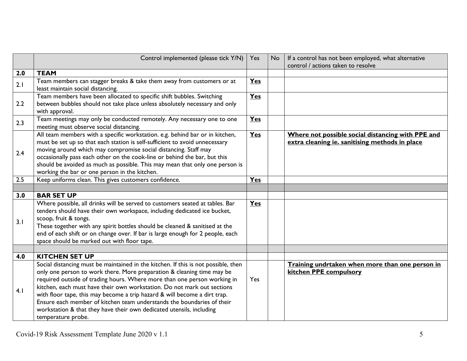|     | Control implemented (please tick Y/N)                                                                                                                                                                                                                                                                                                                                                                                                                                                                                                                                    |            | If a control has not been employed, what alternative<br>Yes<br><b>No</b><br>control / actions taken to resolve |                                                                                                     |
|-----|--------------------------------------------------------------------------------------------------------------------------------------------------------------------------------------------------------------------------------------------------------------------------------------------------------------------------------------------------------------------------------------------------------------------------------------------------------------------------------------------------------------------------------------------------------------------------|------------|----------------------------------------------------------------------------------------------------------------|-----------------------------------------------------------------------------------------------------|
| 2.0 | <b>TEAM</b>                                                                                                                                                                                                                                                                                                                                                                                                                                                                                                                                                              |            |                                                                                                                |                                                                                                     |
| 2.1 | Team members can stagger breaks & take them away from customers or at<br>least maintain social distancing.                                                                                                                                                                                                                                                                                                                                                                                                                                                               | <b>Yes</b> |                                                                                                                |                                                                                                     |
| 2.2 | Team members have been allocated to specific shift bubbles. Switching<br>Yes<br>between bubbles should not take place unless absolutely necessary and only<br>with approval.                                                                                                                                                                                                                                                                                                                                                                                             |            |                                                                                                                |                                                                                                     |
| 2.3 | Team meetings may only be conducted remotely. Any necessary one to one<br>meeting must observe social distancing.                                                                                                                                                                                                                                                                                                                                                                                                                                                        | <b>Yes</b> |                                                                                                                |                                                                                                     |
| 2.4 | All team members with a specific workstation. e.g. behind bar or in kitchen,<br>must be set up so that each station is self-sufficient to avoid unnecessary<br>moving around which may compromise social distancing. Staff may<br>occasionally pass each other on the cook-line or behind the bar, but this<br>should be avoided as much as possible. This may mean that only one person is<br>working the bar or one person in the kitchen.                                                                                                                             | <b>Yes</b> |                                                                                                                | Where not possible social distancing with PPE and<br>extra cleaning ie. sanitising methods in place |
| 2.5 | Keep uniforms clean. This gives customers confidence.                                                                                                                                                                                                                                                                                                                                                                                                                                                                                                                    | Yes        |                                                                                                                |                                                                                                     |
|     |                                                                                                                                                                                                                                                                                                                                                                                                                                                                                                                                                                          |            |                                                                                                                |                                                                                                     |
| 3.0 | <b>BAR SET UP</b>                                                                                                                                                                                                                                                                                                                                                                                                                                                                                                                                                        |            |                                                                                                                |                                                                                                     |
| 3.1 | Where possible, all drinks will be served to customers seated at tables. Bar<br>tenders should have their own workspace, including dedicated ice bucket,<br>scoop, fruit & tongs.<br>These together with any spirit bottles should be cleaned & sanitised at the<br>end of each shift or on change over. If bar is large enough for 2 people, each<br>space should be marked out with floor tape.                                                                                                                                                                        | Yes        |                                                                                                                |                                                                                                     |
|     |                                                                                                                                                                                                                                                                                                                                                                                                                                                                                                                                                                          |            |                                                                                                                |                                                                                                     |
| 4.0 | <b>KITCHEN SET UP</b>                                                                                                                                                                                                                                                                                                                                                                                                                                                                                                                                                    |            |                                                                                                                |                                                                                                     |
| 4.1 | Social distancing must be maintained in the kitchen. If this is not possible, then<br>only one person to work there. More preparation & cleaning time may be<br>required outside of trading hours. Where more than one person working in<br>kitchen, each must have their own workstation. Do not mark out sections<br>with floor tape, this may become a trip hazard & will become a dirt trap.<br>Ensure each member of kitchen team understands the boundaries of their<br>workstation & that they have their own dedicated utensils, including<br>temperature probe. | Yes        |                                                                                                                | Training undrtaken when more than one person in<br>kitchen PPE compulsory                           |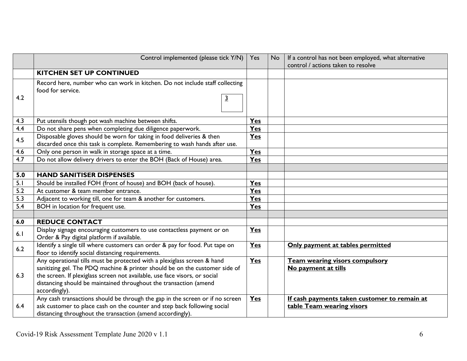|     | Control implemented (please tick Y/N)                                                                                                                                                                                                                                                                                      |            | <b>No</b> | If a control has not been employed, what alternative<br>control / actions taken to resolve |
|-----|----------------------------------------------------------------------------------------------------------------------------------------------------------------------------------------------------------------------------------------------------------------------------------------------------------------------------|------------|-----------|--------------------------------------------------------------------------------------------|
|     | <b>KITCHEN SET UP CONTINUED</b>                                                                                                                                                                                                                                                                                            |            |           |                                                                                            |
| 4.2 | Record here, number who can work in kitchen. Do not include staff collecting<br>food for service.<br>$\overline{3}$                                                                                                                                                                                                        |            |           |                                                                                            |
| 4.3 | Put utensils though pot wash machine between shifts.                                                                                                                                                                                                                                                                       | Yes        |           |                                                                                            |
| 4.4 | Do not share pens when completing due diligence paperwork.                                                                                                                                                                                                                                                                 | <b>Yes</b> |           |                                                                                            |
| 4.5 | Disposable gloves should be worn for taking in food deliveries & then<br>discarded once this task is complete. Remembering to wash hands after use.                                                                                                                                                                        | <b>Yes</b> |           |                                                                                            |
| 4.6 | Only one person in walk in storage space at a time.                                                                                                                                                                                                                                                                        | Yes        |           |                                                                                            |
| 4.7 | Do not allow delivery drivers to enter the BOH (Back of House) area.                                                                                                                                                                                                                                                       | Yes        |           |                                                                                            |
|     |                                                                                                                                                                                                                                                                                                                            |            |           |                                                                                            |
| 5.0 | <b>HAND SANITISER DISPENSES</b>                                                                                                                                                                                                                                                                                            |            |           |                                                                                            |
| 5.1 | Should be installed FOH (front of house) and BOH (back of house).                                                                                                                                                                                                                                                          | Yes        |           |                                                                                            |
| 5.2 | At customer & team member entrance.                                                                                                                                                                                                                                                                                        | Yes        |           |                                                                                            |
| 5.3 | Adjacent to working till, one for team & another for customers.                                                                                                                                                                                                                                                            | Yes        |           |                                                                                            |
| 5.4 | BOH in location for frequent use.                                                                                                                                                                                                                                                                                          |            |           |                                                                                            |
|     |                                                                                                                                                                                                                                                                                                                            |            |           |                                                                                            |
| 6.0 | <b>REDUCE CONTACT</b>                                                                                                                                                                                                                                                                                                      |            |           |                                                                                            |
| 6.1 | Display signage encouraging customers to use contactless payment or on<br>Order & Pay digital platform if available.                                                                                                                                                                                                       | Yes        |           |                                                                                            |
| 6.2 | Identify a single till where customers can order & pay for food. Put tape on<br>floor to identify social distancing requirements.                                                                                                                                                                                          | <b>Yes</b> |           | Only payment at tables permitted                                                           |
| 6.3 | Any operational tills must be protected with a plexiglass screen & hand<br>sanitizing gel. The PDQ machine & printer should be on the customer side of<br>the screen. If plexiglass screen not available, use face visors, or social<br>distancing should be maintained throughout the transaction (amend<br>accordingly). | <b>Yes</b> |           | Team wearing visors compulsory<br>No payment at tills                                      |
| 6.4 | Any cash transactions should be through the gap in the screen or if no screen<br>ask customer to place cash on the counter and step back following social<br>distancing throughout the transaction (amend accordingly).                                                                                                    | Yes        |           | If cash payments taken customer to remain at<br>table Team wearing visors                  |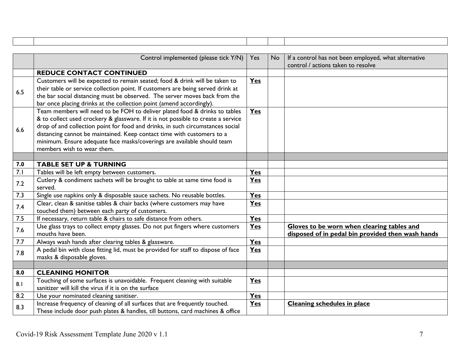|                                                                                                                                                                                                                                                                                                                                                                                                                                             | Control implemented (please tick Y/N)                                                                                                                                                                                                                                                                               | Yes        | <b>No</b> | If a control has not been employed, what alternative                                            |
|---------------------------------------------------------------------------------------------------------------------------------------------------------------------------------------------------------------------------------------------------------------------------------------------------------------------------------------------------------------------------------------------------------------------------------------------|---------------------------------------------------------------------------------------------------------------------------------------------------------------------------------------------------------------------------------------------------------------------------------------------------------------------|------------|-----------|-------------------------------------------------------------------------------------------------|
|                                                                                                                                                                                                                                                                                                                                                                                                                                             |                                                                                                                                                                                                                                                                                                                     |            |           | control / actions taken to resolve                                                              |
|                                                                                                                                                                                                                                                                                                                                                                                                                                             | <b>REDUCE CONTACT CONTINUED</b>                                                                                                                                                                                                                                                                                     |            |           |                                                                                                 |
| 6.5                                                                                                                                                                                                                                                                                                                                                                                                                                         | Customers will be expected to remain seated; food & drink will be taken to<br>their table or service collection point. If customers are being served drink at<br>the bar social distancing must be observed. The server moves back from the<br>bar once placing drinks at the collection point (amend accordingly). | Yes        |           |                                                                                                 |
| Team members will need to be FOH to deliver plated food & drinks to tables<br>& to collect used crockery & glassware. If it is not possible to create a service<br>drop of and collection point for food and drinks, in such circumstances social<br>6.6<br>distancing cannot be maintained. Keep contact time with customers to a<br>minimum. Ensure adequate face masks/coverings are available should team<br>members wish to wear them. |                                                                                                                                                                                                                                                                                                                     | <b>Yes</b> |           |                                                                                                 |
|                                                                                                                                                                                                                                                                                                                                                                                                                                             |                                                                                                                                                                                                                                                                                                                     |            |           |                                                                                                 |
| 7.0                                                                                                                                                                                                                                                                                                                                                                                                                                         | <b>TABLE SET UP &amp; TURNING</b>                                                                                                                                                                                                                                                                                   |            |           |                                                                                                 |
| 7.1                                                                                                                                                                                                                                                                                                                                                                                                                                         | Tables will be left empty between customers.                                                                                                                                                                                                                                                                        | Yes        |           |                                                                                                 |
| 7.2                                                                                                                                                                                                                                                                                                                                                                                                                                         | Cutlery & condiment sachets will be brought to table at same time food is<br>served.                                                                                                                                                                                                                                | Yes        |           |                                                                                                 |
| 7.3                                                                                                                                                                                                                                                                                                                                                                                                                                         | Single use napkins only & disposable sauce sachets. No reusable bottles.                                                                                                                                                                                                                                            | Yes        |           |                                                                                                 |
| 7.4                                                                                                                                                                                                                                                                                                                                                                                                                                         | Clear, clean & sanitise tables & chair backs (where customers may have<br>touched them) between each party of customers.                                                                                                                                                                                            | Yes        |           |                                                                                                 |
| 7.5                                                                                                                                                                                                                                                                                                                                                                                                                                         | If necessary, return table & chairs to safe distance from others.                                                                                                                                                                                                                                                   | $Y_{es}$   |           |                                                                                                 |
| 7.6                                                                                                                                                                                                                                                                                                                                                                                                                                         | Use glass trays to collect empty glasses. Do not put fingers where customers<br>mouths have been.                                                                                                                                                                                                                   | Yes        |           | Gloves to be worn when clearing tables and<br>disposed of in pedal bin provided then wash hands |
| 7.7                                                                                                                                                                                                                                                                                                                                                                                                                                         | Always wash hands after clearing tables & glassware.                                                                                                                                                                                                                                                                | Yes        |           |                                                                                                 |
| 7.8                                                                                                                                                                                                                                                                                                                                                                                                                                         | A pedal bin with close fitting lid, must be provided for staff to dispose of face<br>masks & disposable gloves.                                                                                                                                                                                                     | Yes        |           |                                                                                                 |
|                                                                                                                                                                                                                                                                                                                                                                                                                                             |                                                                                                                                                                                                                                                                                                                     |            |           |                                                                                                 |
| 8.0                                                                                                                                                                                                                                                                                                                                                                                                                                         | <b>CLEANING MONITOR</b>                                                                                                                                                                                                                                                                                             |            |           |                                                                                                 |
| 8.1                                                                                                                                                                                                                                                                                                                                                                                                                                         | Touching of some surfaces is unavoidable. Frequent cleaning with suitable<br>sanitizer will kill the virus if it is on the surface                                                                                                                                                                                  | Yes        |           |                                                                                                 |
| 8.2                                                                                                                                                                                                                                                                                                                                                                                                                                         | Use your nominated cleaning sanitiser.                                                                                                                                                                                                                                                                              | <b>Yes</b> |           |                                                                                                 |
| 8.3                                                                                                                                                                                                                                                                                                                                                                                                                                         | Increase frequency of cleaning of all surfaces that are frequently touched.<br>These include door push plates & handles, till buttons, card machines & office                                                                                                                                                       | Yes        |           | <b>Cleaning schedules in place</b>                                                              |